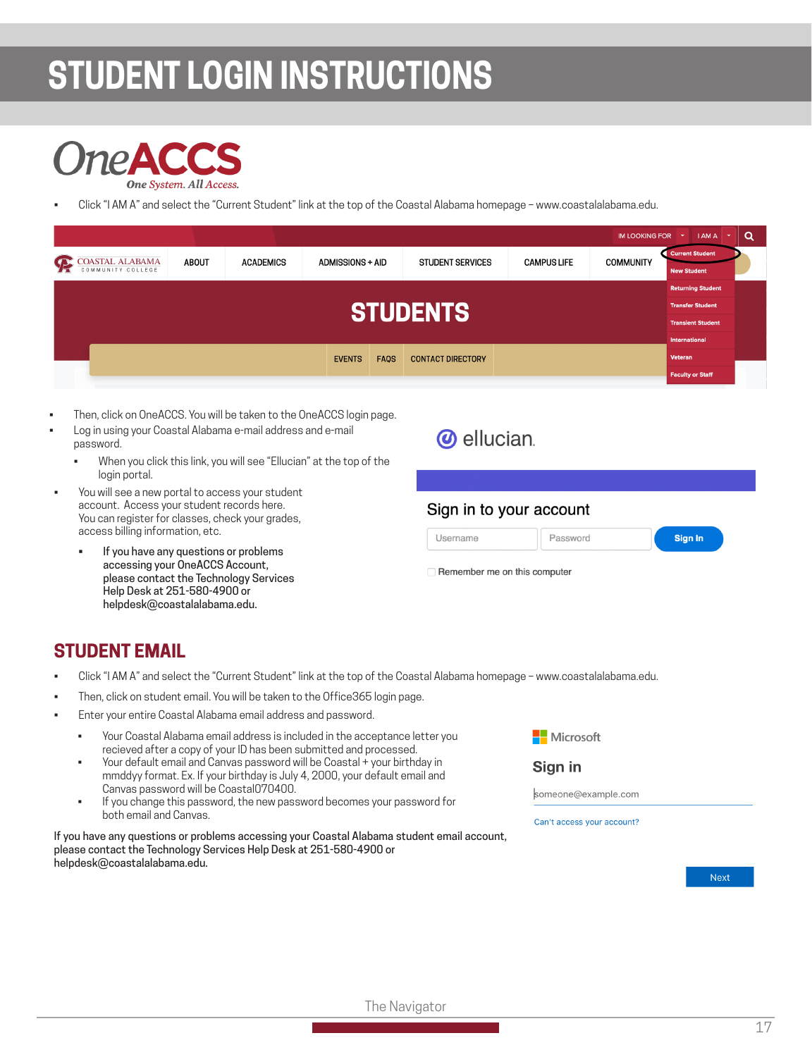# **STUDENT LOGIN INSTRUCTIONS**



• Click "I AM A" and select the "Current Student" link at the top of the Coastal Alabama homepage – www.coastalalabama.edu.

|                                                                      |       |                  |                         |             |                          |                    | 1111 100 111 110 11011 | $\cdots$                                     | ∽ |
|----------------------------------------------------------------------|-------|------------------|-------------------------|-------------|--------------------------|--------------------|------------------------|----------------------------------------------|---|
| <b>COASTAL ALABAMA</b><br>$\mathcal{P}$                              | ABOUT | <b>ACADEMICS</b> | <b>ADMISSIONS + AID</b> |             | <b>STUDENT SERVICES</b>  | <b>CAMPUS LIFE</b> | <b>COMMUNITY</b>       | <b>Current Student</b><br><b>New Student</b> |   |
|                                                                      |       |                  |                         |             |                          |                    |                        | <b>Returning Student</b>                     |   |
| <b>STUDENTS!</b>                                                     |       |                  |                         |             |                          |                    |                        | <b>Transfer Student</b>                      |   |
|                                                                      |       |                  |                         |             |                          |                    |                        | <b>Transient Student</b>                     |   |
|                                                                      |       |                  |                         |             |                          |                    |                        | <b>International</b>                         |   |
|                                                                      |       |                  | <b>EVENTS</b>           | <b>FAOS</b> | <b>CONTACT DIRECTORY</b> |                    |                        | Veteran                                      |   |
|                                                                      |       |                  |                         |             |                          |                    |                        | <b>Faculty or Staff</b>                      |   |
|                                                                      |       |                  |                         |             |                          |                    |                        |                                              |   |
| Then, click on OneACCS. You will be taken to the OneACCS login page. |       |                  |                         |             |                          |                    |                        |                                              |   |

- Log in using your Coastal Alabama e-mail address and e-mail password.
	- When you click this link, you will see "Ellucian" at the top of the login portal.
- You will see a new portal to access your student account. Access your student records here. You can register for classes, check your grades, access billing information, etc.
	- If you have any questions or problems accessing your OneACCS Account, please contact the Technology Services Help Desk at 251-580-4900 or helpdesk@coastalalabama.edu.

| <b><i>O</i></b> ellucian. |  |
|---------------------------|--|
|                           |  |

### Sign in to your account



Remember me on this computer

Username

### **STUDENT EMAIL**

- Click "I AM A" and select the "Current Student" link at the top of the Coastal Alabama homepage www.coastalalabama.edu.
- Then, click on student email. You will be taken to the Office365 login page.
- Enter your entire Coastal Alabama email address and password.
	- Your Coastal Alabama email address is included in the acceptance letter you recieved after a copy of your ID has been submitted and processed.
	- Your default email and Canvas password will be Coastal + your birthday in mmddyy format. Ex. If your birthday is July 4, 2000, your default email and Canvas password will be Coastal070400.
	- If you change this password, the new password becomes your password for both email and Canvas.

If you have any questions or problems accessing your Coastal Alabama student email account, please contact the Technology Services Help Desk at 251-580-4900 or helpdesk@coastalalabama.edu.



#### Sign in

someone@example.com

Can't access your account?

Next

The Navigator